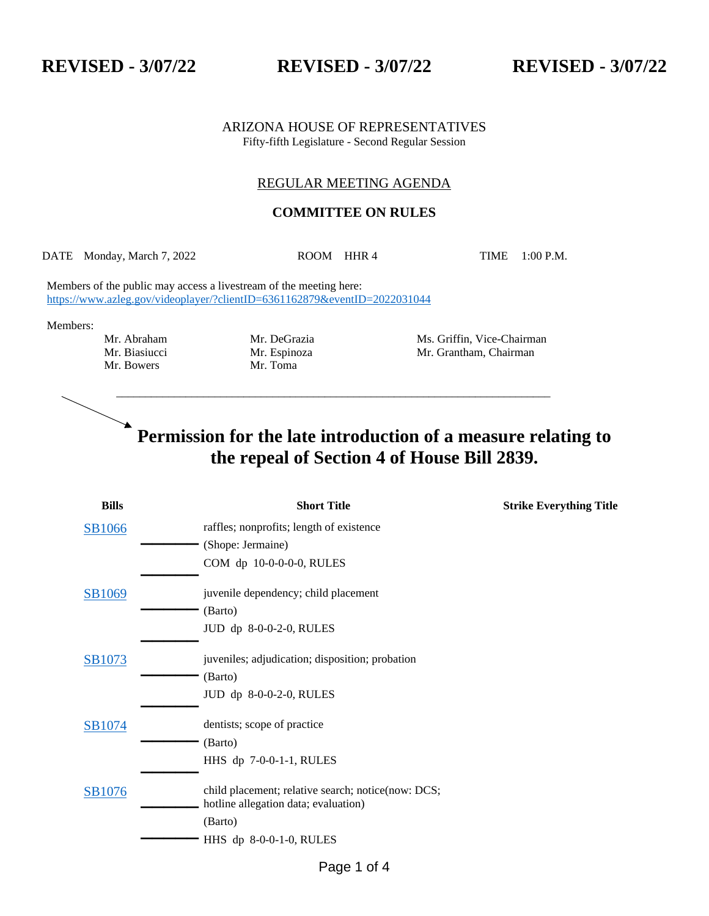**REVISED - 3/07/22 REVISED - 3/07/22 REVISED - 3/07/22**

ARIZONA HOUSE OF REPRESENTATIVES Fifty-fifth Legislature - Second Regular Session

## REGULAR MEETING AGENDA

## **COMMITTEE ON RULES**

DATE Monday, March 7, 2022 ROOM HHR 4 TIME 1:00 P.M.

\_\_\_\_\_\_\_\_\_\_\_\_\_\_\_\_\_\_\_\_\_\_\_\_\_\_\_\_\_\_\_\_\_\_\_\_\_\_\_\_\_\_\_\_\_\_\_\_\_\_\_\_\_\_\_\_\_\_\_\_\_\_\_\_\_\_\_\_\_\_\_\_\_\_\_

Members of the public may access a livestream of the meeting here: <https://www.azleg.gov/videoplayer/?clientID=6361162879&eventID=2022031044>

Members:

- Mr. Bowers
- 

Mr. Abraham Mr. DeGrazia Ms. Griffin, Vice-Chairman Mr. Biasiucci Mr. Espinoza Mr. Grantham, Chairman Mr. Bowers Mr. Toma

## $\blacktriangleright$ **Permission for the late introduction of a measure relating to the repeal of Section 4 of House Bill 2839.**

| <b>Bills</b> | <b>Short Title</b>                                                                         | <b>Strike Everything Title</b> |
|--------------|--------------------------------------------------------------------------------------------|--------------------------------|
| SB1066       | raffles; nonprofits; length of existence                                                   |                                |
|              | (Shope: Jermaine)                                                                          |                                |
|              | COM dp 10-0-0-0-0, RULES                                                                   |                                |
| SB1069       | juvenile dependency; child placement                                                       |                                |
|              | (Barto)                                                                                    |                                |
|              | JUD dp 8-0-0-2-0, RULES                                                                    |                                |
| SB1073       | juveniles; adjudication; disposition; probation                                            |                                |
|              | (Barto)                                                                                    |                                |
|              | JUD dp 8-0-0-2-0, RULES                                                                    |                                |
| SB1074       | dentists; scope of practice                                                                |                                |
|              | (Barto)                                                                                    |                                |
|              | HHS dp 7-0-0-1-1, RULES                                                                    |                                |
| SB1076       | child placement; relative search; notice(now: DCS;<br>hotline allegation data; evaluation) |                                |
|              | (Barto)                                                                                    |                                |
|              | HHS dp 8-0-0-1-0, RULES                                                                    |                                |
|              |                                                                                            |                                |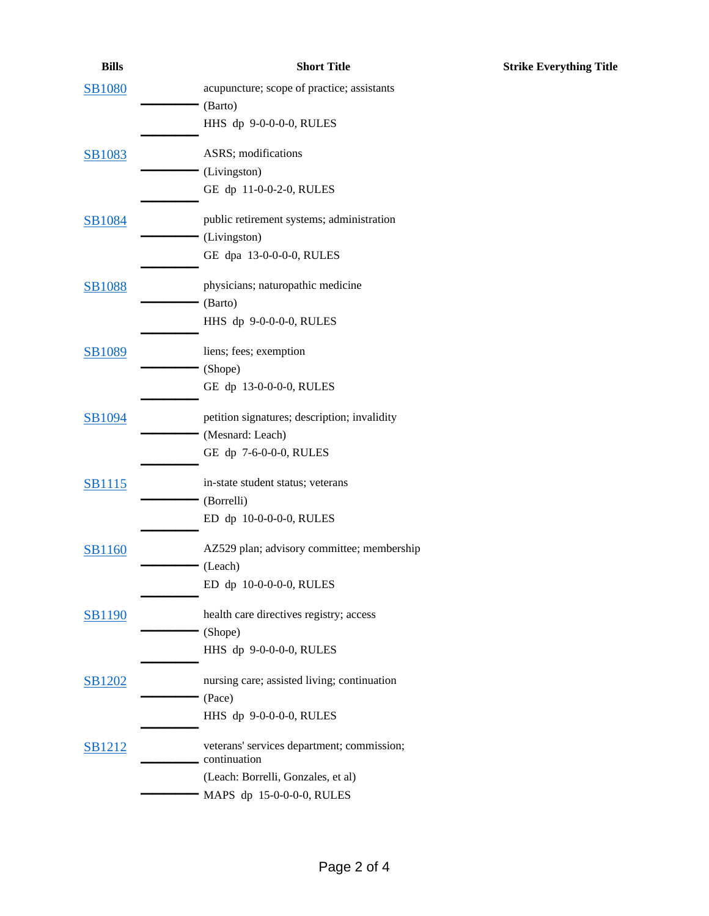| <b>Bills</b>  | <b>Short Title</b>                                         | <b>Strike Everything Title</b> |
|---------------|------------------------------------------------------------|--------------------------------|
| <b>SB1080</b> | acupuncture; scope of practice; assistants                 |                                |
|               | (Barto)                                                    |                                |
|               | HHS dp 9-0-0-0-0, RULES                                    |                                |
| <b>SB1083</b> | ASRS; modifications                                        |                                |
|               | (Livingston)                                               |                                |
|               | GE dp 11-0-0-2-0, RULES                                    |                                |
| <b>SB1084</b> | public retirement systems; administration                  |                                |
|               | (Livingston)                                               |                                |
|               | GE dpa 13-0-0-0-0, RULES                                   |                                |
| <b>SB1088</b> | physicians; naturopathic medicine                          |                                |
|               | (Barto)                                                    |                                |
|               | HHS dp 9-0-0-0-0, RULES                                    |                                |
| <b>SB1089</b> | liens; fees; exemption                                     |                                |
|               | (Shope)                                                    |                                |
|               | GE dp 13-0-0-0-0, RULES                                    |                                |
| SB1094        | petition signatures; description; invalidity               |                                |
|               | (Mesnard: Leach)                                           |                                |
|               | GE dp 7-6-0-0-0, RULES                                     |                                |
| <b>SB1115</b> | in-state student status; veterans                          |                                |
|               | (Borrelli)                                                 |                                |
|               | ED dp 10-0-0-0-0, RULES                                    |                                |
| <b>SB1160</b> | AZ529 plan; advisory committee; membership                 |                                |
|               | (Leach)                                                    |                                |
|               | ED dp 10-0-0-0-0, RULES                                    |                                |
| <b>SB1190</b> | health care directives registry; access                    |                                |
|               | (Shope)                                                    |                                |
|               | HHS dp 9-0-0-0-0, RULES                                    |                                |
| <b>SB1202</b> | nursing care; assisted living; continuation                |                                |
|               | (Pace)                                                     |                                |
|               | HHS dp 9-0-0-0-0, RULES                                    |                                |
| SB1212        | veterans' services department; commission;<br>continuation |                                |
|               | (Leach: Borrelli, Gonzales, et al)                         |                                |
|               | MAPS dp 15-0-0-0-0, RULES                                  |                                |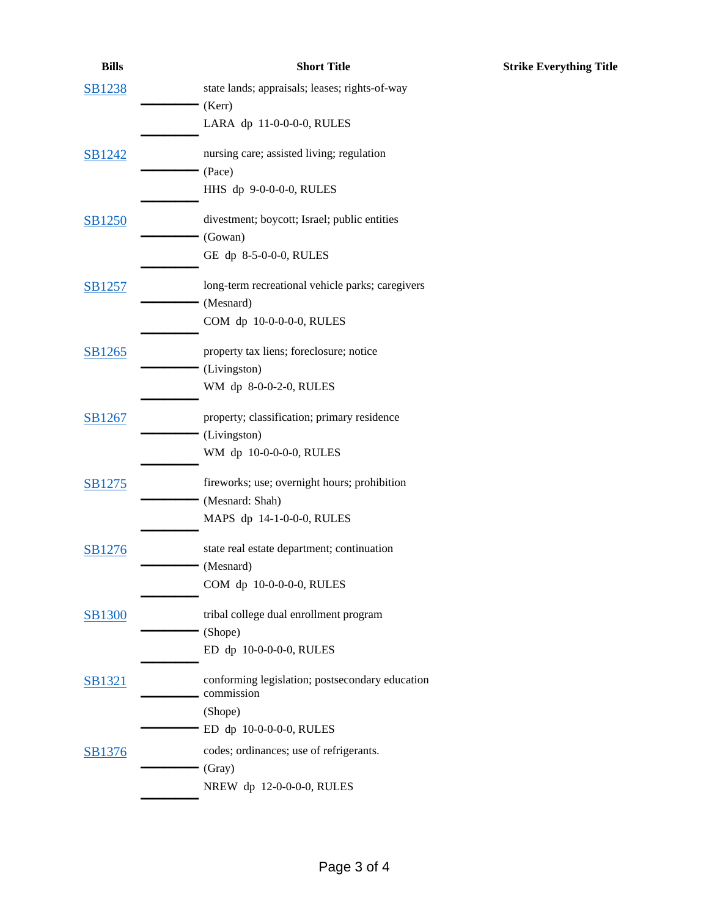| <b>Bills</b>  | <b>Short Title</b>                                            | <b>Strike Everything Title</b> |
|---------------|---------------------------------------------------------------|--------------------------------|
| <b>SB1238</b> | state lands; appraisals; leases; rights-of-way                |                                |
|               | (Kerr)                                                        |                                |
|               | LARA dp 11-0-0-0-0, RULES                                     |                                |
| SB1242        | nursing care; assisted living; regulation                     |                                |
|               | (Pace)                                                        |                                |
|               | HHS dp 9-0-0-0-0, RULES                                       |                                |
| <b>SB1250</b> | divestment; boycott; Israel; public entities                  |                                |
|               | (Gowan)                                                       |                                |
|               | GE dp 8-5-0-0-0, RULES                                        |                                |
| SB1257        | long-term recreational vehicle parks; caregivers              |                                |
|               | (Mesnard)                                                     |                                |
|               | COM dp 10-0-0-0-0, RULES                                      |                                |
| SB1265        | property tax liens; foreclosure; notice                       |                                |
|               | (Livingston)                                                  |                                |
|               | WM dp 8-0-0-2-0, RULES                                        |                                |
| SB1267        | property; classification; primary residence                   |                                |
|               | (Livingston)                                                  |                                |
|               | WM dp 10-0-0-0-0, RULES                                       |                                |
| SB1275        | fireworks; use; overnight hours; prohibition                  |                                |
|               | (Mesnard: Shah)                                               |                                |
|               | MAPS dp 14-1-0-0-0, RULES                                     |                                |
| SB1276        | state real estate department; continuation                    |                                |
|               | (Mesnard)                                                     |                                |
|               | COM dp 10-0-0-0-0, RULES                                      |                                |
| <b>SB1300</b> | tribal college dual enrollment program                        |                                |
|               | (Shope)                                                       |                                |
|               | ED dp 10-0-0-0-0, RULES                                       |                                |
| <b>SB1321</b> | conforming legislation; postsecondary education<br>commission |                                |
|               | (Shope)                                                       |                                |
|               | ED dp 10-0-0-0-0, RULES                                       |                                |
| SB1376        | codes; ordinances; use of refrigerants.                       |                                |
|               | (Gray)                                                        |                                |
|               | NREW dp 12-0-0-0-0, RULES                                     |                                |